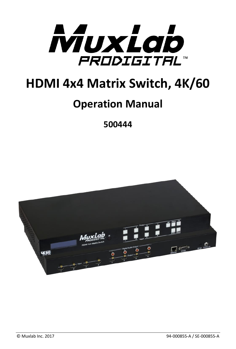

# **HDMI 4x4 Matrix Switch, 4K/60**

# **Operation Manual**

**500444**

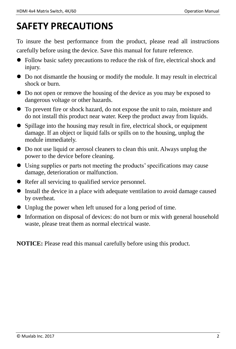# **SAFETY PRECAUTIONS**

To insure the best performance from the product, please read all instructions carefully before using the device. Save this manual for future reference.

- Follow basic safety precautions to reduce the risk of fire, electrical shock and injury.
- Do not dismantle the housing or modify the module. It may result in electrical shock or burn.
- Do not open or remove the housing of the device as you may be exposed to dangerous voltage or other hazards.
- To prevent fire or shock hazard, do not expose the unit to rain, moisture and do not install this product near water. Keep the product away from liquids.
- Spillage into the housing may result in fire, electrical shock, or equipment damage. If an object or liquid falls or spills on to the housing, unplug the module immediately.
- Do not use liquid or aerosol cleaners to clean this unit. Always unplug the power to the device before cleaning.
- Using supplies or parts not meeting the products' specifications may cause damage, deterioration or malfunction.
- Refer all servicing to qualified service personnel.
- Install the device in a place with adequate ventilation to avoid damage caused by overheat.
- Unplug the power when left unused for a long period of time.
- Information on disposal of devices: do not burn or mix with general household waste, please treat them as normal electrical waste.

**NOTICE:** Please read this manual carefully before using this product.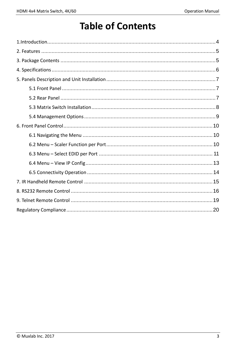# **Table of Contents**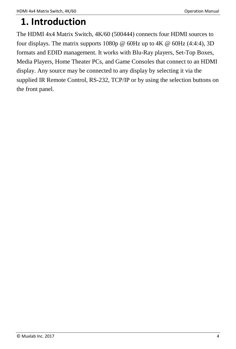## <span id="page-3-0"></span>**1. Introduction**

The HDMI 4x4 Matrix Switch, 4K/60 (500444) connects four HDMI sources to four displays. The matrix supports 1080p  $\omega$  60Hz up to 4K  $\omega$  60Hz (4:4:4), 3D formats and EDID management. It works with Blu-Ray players, Set-Top Boxes, Media Players, Home Theater PCs, and Game Consoles that connect to an HDMI display. Any source may be connected to any display by selecting it via the supplied IR Remote Control, RS-232, TCP/IP or by using the selection buttons on the front panel.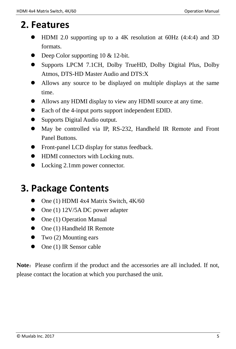## <span id="page-4-0"></span>**2. Features**

- HDMI 2.0 supporting up to a 4K resolution at 60Hz (4:4:4) and 3D formats.
- Deep Color supporting 10 & 12-bit.
- Supports LPCM 7.1CH, Dolby TrueHD, Dolby Digital Plus, Dolby Atmos, DTS-HD Master Audio and DTS:X
- Allows any source to be displayed on multiple displays at the same time.
- Allows any HDMI display to view any HDMI source at any time.
- Each of the 4-input ports support independent EDID.
- Supports Digital Audio output.
- May be controlled via IP, RS-232, Handheld IR Remote and Front Panel Buttons.
- Front-panel LCD display for status feedback.
- HDMI connectors with Locking nuts.
- Locking 2.1mm power connector.

# <span id="page-4-1"></span>**3. Package Contents**

- One (1) HDMI 4x4 Matrix Switch, 4K/60
- $\bullet$  One (1) 12V/5A DC power adapter
- $\bullet$  One (1) Operation Manual
- One (1) Handheld IR Remote
- $\bullet$  Two (2) Mounting ears
- $\bullet$  One (1) IR Sensor cable

**Note:** Please confirm if the product and the accessories are all included. If not, please contact the location at which you purchased the unit.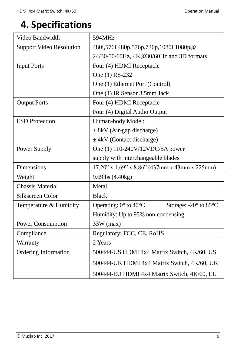# <span id="page-5-0"></span>**4. Specifications**

| Video Bandwidth                 | 594MHz                                                        |  |  |  |
|---------------------------------|---------------------------------------------------------------|--|--|--|
| <b>Support Video Resolution</b> | 480i, 576i, 480p, 576p, 720p, 1080i, 1080p@                   |  |  |  |
|                                 | 24/30/50/60Hz, 4K@30/60Hz and 3D formats                      |  |  |  |
| <b>Input Ports</b>              | Four (4) HDMI Receptacle                                      |  |  |  |
|                                 | One (1) RS-232                                                |  |  |  |
|                                 | One (1) Ethernet Port (Control)                               |  |  |  |
|                                 | One (1) IR Sensor 3.5mm Jack                                  |  |  |  |
| <b>Output Ports</b>             | Four (4) HDMI Receptacle                                      |  |  |  |
|                                 | Four (4) Digital Audio Output                                 |  |  |  |
| <b>ESD</b> Protection           | Human-body Model:                                             |  |  |  |
|                                 | $\pm$ 8kV (Air-gap discharge)                                 |  |  |  |
|                                 | $\pm$ 4kV (Contact discharge)                                 |  |  |  |
| Power Supply                    | One (1) 110-240V/12VDC/5A power                               |  |  |  |
|                                 | supply with interchangeable blades                            |  |  |  |
| <b>Dimensions</b>               | $17.20$ " x $1.69$ " x $8.86$ " (437mm x 43mm x 225mm)        |  |  |  |
| Weight                          | 9.69lbs (4.40kg)                                              |  |  |  |
| <b>Chassis Material</b>         | Metal                                                         |  |  |  |
| Silkscreen Color                | <b>Black</b>                                                  |  |  |  |
| Temperature & Humidity          | Operating: $0^\circ$ to $40^\circ$ C<br>Storage: -20° to 85°C |  |  |  |
|                                 | Humidity: Up to 95% non-condensing                            |  |  |  |
| <b>Power Consumption</b>        | $33W$ (max)                                                   |  |  |  |
| Compliance                      | Regulatory: FCC, CE, RoHS                                     |  |  |  |
| Warranty                        | 2 Years                                                       |  |  |  |
| <b>Ordering Information</b>     | 500444-US HDMI 4x4 Matrix Switch, 4K/60, US                   |  |  |  |
|                                 | 500444-UK HDMI 4x4 Matrix Switch, 4K/60, UK                   |  |  |  |
|                                 | 500444-EU HDMI 4x4 Matrix Switch, 4K/60, EU                   |  |  |  |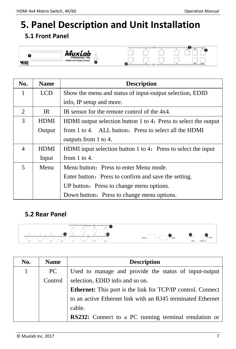# <span id="page-6-0"></span>**5. Panel Description and Unit Installation**

## <span id="page-6-1"></span>**5.1 Front Panel**



| No.            | <b>Name</b> | <b>Description</b>                                              |  |  |  |
|----------------|-------------|-----------------------------------------------------------------|--|--|--|
| 1              | <b>LCD</b>  | Show the menu and status of input-output selection, EDID        |  |  |  |
|                |             | info, IP setup and more.                                        |  |  |  |
| $\overline{2}$ | IR.         | IR sensor for the remote control of the 4x4.                    |  |  |  |
| 3              | HDMI        | HDMI output selection button 1 to 4: Press to select the output |  |  |  |
|                | Output      | from 1 to 4. ALL button: Press to select all the HDMI           |  |  |  |
|                |             | outputs from 1 to 4.                                            |  |  |  |
| $\overline{4}$ | <b>HDMI</b> | HDMI input selection button 1 to 4: Press to select the input   |  |  |  |
|                | Input       | from $1$ to $4$ .                                               |  |  |  |
| 5              | Menu        | Menu button: Press to enter Menu mode.                          |  |  |  |
|                |             | Enter button: Press to confirm and save the setting.            |  |  |  |
|                |             | UP button: Press to change menu options.                        |  |  |  |
|                |             | Down button: Press to change menu options.                      |  |  |  |

### <span id="page-6-2"></span>**5.2 Rear Panel**



| No.          | <b>Name</b> | <b>Description</b>                                                 |
|--------------|-------------|--------------------------------------------------------------------|
| $\mathbf{1}$ | PC.         | Used to manage and provide the status of input-output              |
|              | Control     | selection, EDID info and so on.                                    |
|              |             | <b>Ethernet:</b> This port is the link for TCP/IP control. Connect |
|              |             | to an active Ethernet link with an RJ45 terminated Ethernet        |
|              |             | cable.                                                             |
|              |             | RS232: Connect to a PC running terminal emulation or               |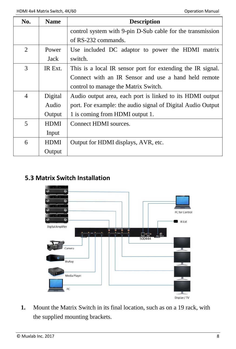| No.            | <b>Name</b> | <b>Description</b>                                          |  |  |  |
|----------------|-------------|-------------------------------------------------------------|--|--|--|
|                |             | control system with 9-pin D-Sub cable for the transmission  |  |  |  |
|                |             | of RS-232 commands.                                         |  |  |  |
| 2              | Power       | Use included DC adaptor to power the HDMI matrix            |  |  |  |
|                | Jack        | switch.                                                     |  |  |  |
| 3              | IR Ext.     | This is a local IR sensor port for extending the IR signal. |  |  |  |
|                |             | Connect with an IR Sensor and use a hand held remote        |  |  |  |
|                |             | control to manage the Matrix Switch.                        |  |  |  |
| $\overline{4}$ | Digital     | Audio output area, each port is linked to its HDMI output   |  |  |  |
|                | Audio       | port. For example: the audio signal of Digital Audio Output |  |  |  |
|                | Output      | 1 is coming from HDMI output 1.                             |  |  |  |
| 5              | <b>HDMI</b> | Connect HDMI sources.                                       |  |  |  |
|                | Input       |                                                             |  |  |  |
| 6              | <b>HDMI</b> | Output for HDMI displays, AVR, etc.                         |  |  |  |
|                | Output      |                                                             |  |  |  |

#### <span id="page-7-0"></span>**5.3 Matrix Switch Installation**



**1.** Mount the Matrix Switch in its final location, such as on a 19 rack, with the supplied mounting brackets.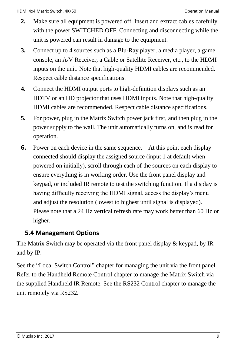- **2.** Make sure all equipment is powered off. Insert and extract cables carefully with the power SWITCHED OFF. Connecting and disconnecting while the unit is powered can result in damage to the equipment.
- **3.** Connect up to 4 sources such as a Blu-Ray player, a media player, a game console, an A/V Receiver, a Cable or Satellite Receiver, etc., to the HDMI inputs on the unit. Note that high-quality HDMI cables are recommended. Respect cable distance specifications.
- **4.** Connect the HDMI output ports to high-definition displays such as an HDTV or an HD projector that uses HDMI inputs. Note that high-quality HDMI cables are recommended. Respect cable distance specifications.
- **5.** For power, plug in the Matrix Switch power jack first, and then plug in the power supply to the wall. The unit automatically turns on, and is read for operation.
- **6.** Power on each device in the same sequence. At this point each display connected should display the assigned source (input 1 at default when powered on initially), scroll through each of the sources on each display to ensure everything is in working order. Use the front panel display and keypad, or included IR remote to test the switching function. If a display is having difficulty receiving the HDMI signal, access the display's menu and adjust the resolution (lowest to highest until signal is displayed). Please note that a 24 Hz vertical refresh rate may work better than 60 Hz or higher.

### <span id="page-8-0"></span>**5.4 Management Options**

The Matrix Switch may be operated via the front panel display & keypad, by IR and by IP.

See the "Local Switch Control" chapter for managing the unit via the front panel. Refer to the Handheld Remote Control chapter to manage the Matrix Switch via the supplied Handheld IR Remote. See the RS232 Control chapter to manage the unit remotely via RS232.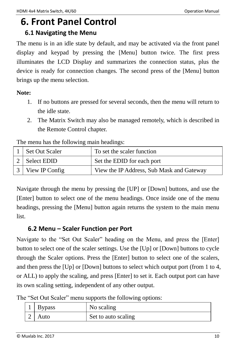# <span id="page-9-0"></span>**6. Front Panel Control**

#### <span id="page-9-1"></span>**6.1 Navigating the Menu**

The menu is in an idle state by default, and may be activated via the front panel display and keypad by pressing the [Menu] button twice. The first press illuminates the LCD Display and summarizes the connection status, plus the device is ready for connection changes. The second press of the [Menu] button brings up the menu selection.

#### **Note:**

- 1. If no buttons are pressed for several seconds, then the menu will return to the idle state.
- 2. The Matrix Switch may also be managed remotely, which is described in the Remote Control chapter.

The menu has the following main headings:

| Set Out Scaler   | To set the scaler function                |
|------------------|-------------------------------------------|
| 2 Select EDID    | Set the EDID for each port                |
| 3 View IP Config | View the IP Address, Sub Mask and Gateway |

Navigate through the menu by pressing the [UP] or [Down] buttons, and use the [Enter] button to select one of the menu headings. Once inside one of the menu headings, pressing the [Menu] button again returns the system to the main menu list.

### <span id="page-9-2"></span>**6.2 Menu – Scaler Function per Port**

Navigate to the "Set Out Scaler" heading on the Menu, and press the [Enter] button to select one of the scaler settings. Use the [Up] or [Down] buttons to cycle through the Scaler options. Press the [Enter] button to select one of the scalers, and then press the [Up] or [Down] buttons to select which output port (from 1 to 4, or ALL) to apply the scaling, and press [Enter] to set it. Each output port can have its own scaling setting, independent of any other output.

|  |  |  |  |  |  |  | The "Set Out Scaler" menu supports the following options: |  |
|--|--|--|--|--|--|--|-----------------------------------------------------------|--|
|--|--|--|--|--|--|--|-----------------------------------------------------------|--|

| 1 Bypass | No scaling          |
|----------|---------------------|
| Auto     | Set to auto scaling |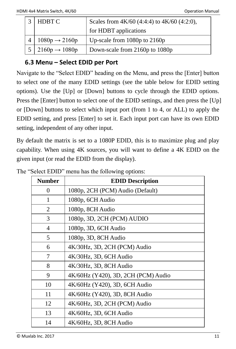| HDBT C                           | Scales from 4K/60 (4:4:4) to 4K/60 (4:2:0), |
|----------------------------------|---------------------------------------------|
|                                  | for HDBT applications                       |
| $1080p \rightarrow 2160p$        | Up-scale from $1080p$ to $2160p$            |
| $5 \mid 2160p \rightarrow 1080p$ | Down-scale from 2160p to 1080p              |

### <span id="page-10-0"></span>**6.3 Menu – Select EDID per Port**

Navigate to the "Select EDID" heading on the Menu, and press the [Enter] button to select one of the many EDID settings (see the table below for EDID setting options). Use the [Up] or [Down] buttons to cycle through the EDID options. Press the [Enter] button to select one of the EDID settings, and then press the [Up] or [Down] buttons to select which input port (from 1 to 4, or ALL) to apply the EDID setting, and press [Enter] to set it. Each input port can have its own EDID setting, independent of any other input.

By default the matrix is set to a 1080P EDID, this is to maximize plug and play capability. When using 4K sources, you will want to define a 4K EDID on the given input (or read the EDID from the display).

| <b>Number</b> | <b>EDID Description</b>             |
|---------------|-------------------------------------|
| 0             | 1080p, 2CH (PCM) Audio (Default)    |
| 1             | 1080p, 6CH Audio                    |
| 2             | 1080p, 8CH Audio                    |
| 3             | 1080p, 3D, 2CH (PCM) AUDIO          |
| 4             | 1080p, 3D, 6CH Audio                |
| 5             | 1080p, 3D, 8CH Audio                |
| 6             | 4K/30Hz, 3D, 2CH (PCM) Audio        |
| 7             | 4K/30Hz, 3D, 6CH Audio              |
| 8             | 4K/30Hz, 3D, 8CH Audio              |
| 9             | 4K/60Hz (Y420), 3D, 2CH (PCM) Audio |
| 10            | 4K/60Hz (Y420), 3D, 6CH Audio       |
| 11            | 4K/60Hz (Y420), 3D, 8CH Audio       |
| 12            | 4K/60Hz, 3D, 2CH (PCM) Audio        |
| 13            | 4K/60Hz, 3D, 6CH Audio              |
| 14            | 4K/60Hz, 3D, 8CH Audio              |

The "Select EDID" menu has the following options: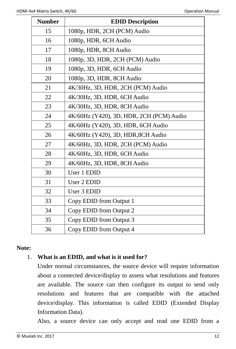| <b>Number</b> | <b>EDID Description</b>                  |  |  |  |
|---------------|------------------------------------------|--|--|--|
| 15            | 1080p, HDR, 2CH (PCM) Audio              |  |  |  |
| 16            | 1080p, HDR, 6CH Audio                    |  |  |  |
| 17            | 1080p, HDR, 8CH Audio                    |  |  |  |
| 18            | 1080p, 3D, HDR, 2CH (PCM) Audio          |  |  |  |
| 19            | 1080p, 3D, HDR, 6CH Audio                |  |  |  |
| 20            | 1080p, 3D, HDR, 8CH Audio                |  |  |  |
| 21            | 4K/30Hz, 3D, HDR, 2CH (PCM) Audio        |  |  |  |
| 22            | 4K/30Hz, 3D, HDR, 6CH Audio              |  |  |  |
| 23            | 4K/30Hz, 3D, HDR, 8CH Audio              |  |  |  |
| 24            | 4K/60Hz (Y420), 3D, HDR, 2CH (PCM) Audio |  |  |  |
| 25            | 4K/60Hz (Y420), 3D, HDR, 6CH Audio       |  |  |  |
| 26            | 4K/60Hz (Y420), 3D, HDR, 8CH Audio       |  |  |  |
| 27            | 4K/60Hz, 3D, HDR, 2CH (PCM) Audio        |  |  |  |
| 28            | 4K/60Hz, 3D, HDR, 6CH Audio              |  |  |  |
| 29            | 4K/60Hz, 3D, HDR, 8CH Audio              |  |  |  |
| 30            | User 1 EDID                              |  |  |  |
| 31            | User 2 EDID                              |  |  |  |
| 32            | User 3 EDID                              |  |  |  |
| 33            | Copy EDID from Output 1                  |  |  |  |
| 34            | Copy EDID from Output 2                  |  |  |  |
| 35            | Copy EDID from Output 3                  |  |  |  |
| 36            | Copy EDID from Output 4                  |  |  |  |

#### **Note:**

#### 1. **What is an EDID, and what is it used for?**

Under normal circumstances, the source device will require information about a connected device/display to assess what resolutions and features are available. The source can then configure its output to send only resolutions and features that are compatible with the attached device/display. This information is called EDID (Extended Display Information Data).

Also, a source device can only accept and read one EDID from a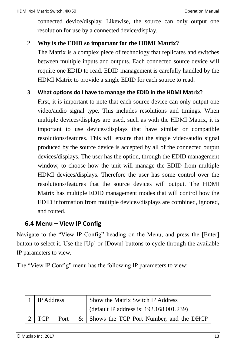connected device/display. Likewise, the source can only output one resolution for use by a connected device/display.

#### 2. **Why is the EDID so important for the HDMI Matrix?**

The Matrix is a complex piece of technology that replicates and switches between multiple inputs and outputs. Each connected source device will require one EDID to read. EDID management is carefully handled by the HDMI Matrix to provide a single EDID for each source to read.

#### 3. **What options do I have to manage the EDID in the HDMI Matrix?**

First, it is important to note that each source device can only output one video/audio signal type. This includes resolutions and timings. When multiple devices/displays are used, such as with the HDMI Matrix, it is important to use devices/displays that have similar or compatible resolutions/features. This will ensure that the single video/audio signal produced by the source device is accepted by all of the connected output devices/displays. The user has the option, through the EDID management window, to choose how the unit will manage the EDID from multiple HDMI devices/displays. Therefore the user has some control over the resolutions/features that the source devices will output. The HDMI Matrix has multiple EDID management modes that will control how the EDID information from multiple devices/displays are combined, ignored, and routed.

#### <span id="page-12-0"></span>**6.4 Menu – View IP Config**

Navigate to the "View IP Config" heading on the Menu, and press the [Enter] button to select it. Use the [Up] or [Down] buttons to cycle through the available IP parameters to view.

The "View IP Config" menu has the following IP parameters to view:

| <b>IP</b> Address |      | Show the Matrix Switch IP Address            |
|-------------------|------|----------------------------------------------|
|                   |      | (default IP address is: 192.168.001.239)     |
| <b>TCP</b>        | Port | $\&$ Shows the TCP Port Number, and the DHCP |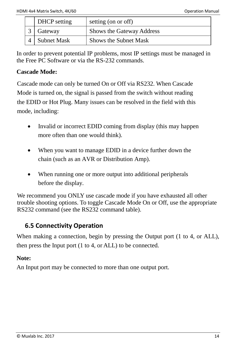| DHCP setting       | setting (on or off)       |
|--------------------|---------------------------|
| Gateway            | Shows the Gateway Address |
| <b>Subnet Mask</b> | Shows the Subnet Mask     |

<span id="page-13-0"></span>In order to prevent potential IP problems, most IP settings must be managed in the Free PC Software or via the RS-232 commands.

#### **Cascade Mode:**

Cascade mode can only be turned On or Off via RS232. When Cascade Mode is turned on, the signal is passed from the switch without reading the EDID or Hot Plug. Many issues can be resolved in the field with this mode, including:

- Invalid or incorrect EDID coming from display (this may happen more often than one would think).
- When you want to manage EDID in a device further down the chain (such as an AVR or Distribution Amp).
- When running one or more output into additional peripherals before the display.

We recommend you ONLY use cascade mode if you have exhausted all other trouble shooting options. To toggle Cascade Mode On or Off, use the appropriate RS232 command (see the RS232 command table).

### **6.5 Connectivity Operation**

When making a connection, begin by pressing the Output port (1 to 4, or ALL). then press the Input port (1 to 4, or ALL) to be connected.

#### **Note:**

An Input port may be connected to more than one output port.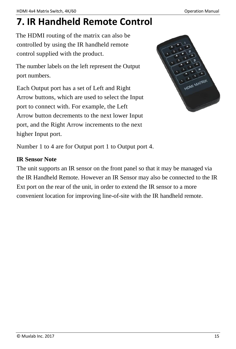# <span id="page-14-0"></span>**7. IR Handheld Remote Control**

The HDMI routing of the matrix can also be controlled by using the IR handheld remote control supplied with the product.

The number labels on the left represent the Output port numbers.

Each Output port has a set of Left and Right Arrow buttons, which are used to select the Input port to connect with. For example, the Left Arrow button decrements to the next lower Input port, and the Right Arrow increments to the next higher Input port.



Number 1 to 4 are for Output port 1 to Output port 4.

#### **IR Sensor Note**

The unit supports an IR sensor on the front panel so that it may be managed via the IR Handheld Remote. However an IR Sensor may also be connected to the IR Ext port on the rear of the unit, in order to extend the IR sensor to a more convenient location for improving line-of-site with the IR handheld remote.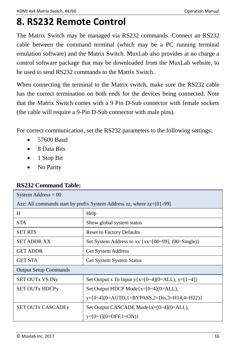# <span id="page-15-0"></span>**8. RS232 Remote Control**

The Matrix Switch may be managed via RS232 commands. Connect an RS232 cable between the command terminal (which may be a PC running terminal emulation software) and the Matrix Switch. MuxLab also provides at no charge a control software package that may be downloaded from the MuxLab website, to be used to send RS232 commands to the Matrix Switch.

When connecting the terminal to the Matrix switch, make sure the RS232 cable has the correct termination on both ends for the devices being connected. Note that the Matrix Switch comes with a 9 Pin D-Sub connector with female sockets (the cable will require a 9-Pin D-Sub connector with male pins).

For correct communication, set the RS232 parameters to the following settings:

- 57600 Baud
- 8 Data Bits
- $\bullet$  1 Stop Bit
- No Parity

#### **RS232 Command Table:**

| System Address $= 00$                                                   |                                                           |  |  |  |
|-------------------------------------------------------------------------|-----------------------------------------------------------|--|--|--|
| Azz: All commands start by prefix System Address zz, where $zz=[01-99]$ |                                                           |  |  |  |
| H                                                                       | Help                                                      |  |  |  |
| <b>STA</b>                                                              | Show global system status                                 |  |  |  |
| <b>SET RTS</b>                                                          | <b>Reset to Factory Defaults</b>                          |  |  |  |
| SET ADDR XX                                                             | Set System Address to xx { $xx=[00-99]$ , $(00=Single)$ } |  |  |  |
| <b>GET ADDR</b>                                                         | <b>Get System Address</b>                                 |  |  |  |
| GET STA                                                                 | <b>Get System System Status</b>                           |  |  |  |
| <b>Output Setup Commands</b>                                            |                                                           |  |  |  |
| <b>SET OUTX VS INY</b>                                                  | Set Output x To Input $y{x=[0-4](0=ALL)}$ , $y=[1-4]$     |  |  |  |
| <b>SET OUTX HDCPy</b>                                                   | Set Output HDCP Mode $\{x=[0-4](0=ALL),\}$                |  |  |  |
|                                                                         | $v=[0-4](0=AUTO,1=BYPASS,2=Dis,3=H14,4=H22)$              |  |  |  |
| <b>SET OUTx CASCADEy</b>                                                | Set Output CASCADE Mode $\{x=[0-4](0=ALL)\}$ ,            |  |  |  |
|                                                                         | $y=[0-1](0=OFF,1=ON)$                                     |  |  |  |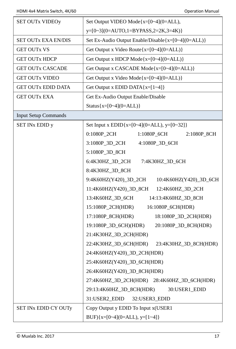| <b>SET OUTX VIDEOy</b>      | Set Output VIDEO Mode $\{x=[0-4](0=ALL),\}$             |  |
|-----------------------------|---------------------------------------------------------|--|
|                             | $y=[0-3](0=AUTO,1=BYPASS,2=2K,3=4K)$                    |  |
| <b>SET OUTX EXA EN/DIS</b>  | Set Ex-Audio Output Enable/Disable $\{x=[0-4](0=ALL)\}$ |  |
| <b>GET OUTX VS</b>          | Get Output x Video Route ${x=[0-4](0=ALL)}$             |  |
| <b>GET OUTX HDCP</b>        | Get Output x HDCP Mode ${x=[0-4](0=ALL)}$               |  |
| <b>GET OUTx CASCADE</b>     | Get Output x CASCADE Mode{x=[0~4](0=ALL)}               |  |
| <b>GET OUTX VIDEO</b>       | Get Output x Video Mode ${x=[0-4](0=ALL)}$              |  |
| <b>GET OUTX EDID DATA</b>   | Get Output x EDID DATA $\{x=[1-4]\}$                    |  |
| <b>GET OUTx EXA</b>         | Get Ex-Audio Output Enable/Disable                      |  |
|                             | Status ${x=[0-4](0=ALL)}$                               |  |
| <b>Input Setup Commands</b> |                                                         |  |
| <b>SET INX EDID y</b>       | Set Input x EDID{x=[0~4](0=ALL), y=[0~32]}              |  |
|                             | 0:1080P_2CH<br>1:1080P_6CH<br>2:1080P_8CH               |  |
|                             | 3:1080P_3D_2CH<br>4:1080P_3D_6CH                        |  |
|                             | 5:1080P_3D_8CH                                          |  |
|                             | 6:4K30HZ 3D 2CH<br>7:4K30HZ_3D_6CH                      |  |
|                             | 8:4K30HZ_3D_8CH                                         |  |
|                             | 9:4K60HZ(Y420)_3D_2CH<br>10:4K60HZ(Y420)_3D_6CH         |  |
|                             | 11:4K60HZ(Y420)_3D_8CH<br>12:4K60HZ_3D_2CH              |  |
|                             | 13:4K60HZ_3D_6CH<br>14:13:4K60HZ_3D_8CH                 |  |
|                             | 15:1080P_2CH(HDR)<br>16:1080P_6CH(HDR)                  |  |
|                             | 17:1080P_8CH(HDR)<br>18:1080P_3D_2CH(HDR)               |  |
|                             | 19:1080P_3D_6CH)(HDR)<br>20:1080P_3D_8CH(HDR)           |  |
|                             | 21:4K30HZ 3D 2CH(HDR)                                   |  |
|                             | 22:4K30HZ_3D_6CH(HDR)<br>23:4K30HZ_3D_8CH(HDR)          |  |
|                             | 24:4K60HZ(Y420)_3D_2CH(HDR)                             |  |
|                             | 25:4K60HZ(Y420)_3D_6CH(HDR)                             |  |
|                             | 26:4K60HZ(Y420)_3D_8CH(HDR)                             |  |
|                             | 27:4K60HZ 3D_2CH(HDR) 28:4K60HZ 3D_6CH(HDR)             |  |
|                             | 29:13:4K60HZ_3D_8CH(HDR)<br>30:USER1_EDID               |  |
|                             | 31:USER2_EDID<br>32:USER3_EDID                          |  |
| SET INX EDID CY OUTY        | Copy Output y EDID To Input x(USER1                     |  |
|                             | BUF) $\{x=[0-4](0=ALL), y=[1-4]\}$                      |  |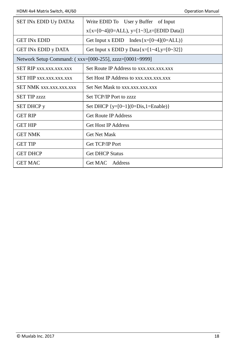| <b>SET INX EDID Uy DATAZ</b>                            | Write EDID To User y Buffer of Input            |  |  |  |
|---------------------------------------------------------|-------------------------------------------------|--|--|--|
|                                                         | $x\{x=[0-4](0=ALL), y=[1-3], z=[EDID Data]\}$   |  |  |  |
| <b>GET IN<sub>x</sub> EDID</b>                          | Get Input x EDID Index { $x=[0-4](0=ALL)$ }     |  |  |  |
| <b>GET INX EDID y DATA</b>                              | Get Input x EDID y Data $\{x=[1-4], y=[0-32]\}$ |  |  |  |
| Network Setup Command: (xxx=[000-255], zzzz=[0001~9999] |                                                 |  |  |  |
| <b>SET RIP xxx.xxx.xxx.xxx</b>                          | Set Route IP Address to xxx.xxx.xxx.xxx         |  |  |  |
| <b>SET HIP XXX.XXX.XXX.XXX</b>                          | Set Host IP Address to xxx.xxx.xxx.xxx          |  |  |  |
| <b>SET NMK xxx.xxx.xxx.xxx</b>                          | Set Net Mask to xxx.xxx.xxx.xxx                 |  |  |  |
| <b>SET TIP zzzz</b>                                     | Set TCP/IP Port to zzzz                         |  |  |  |
| <b>SET DHCP</b> y                                       | Set DHCP $\{v=[0-1](0=Dis,1=Enable)\}\$         |  |  |  |
| <b>GET RIP</b>                                          | <b>Get Route IP Address</b>                     |  |  |  |
| <b>GET HIP</b>                                          | <b>Get Host IP Address</b>                      |  |  |  |
| <b>GET NMK</b>                                          | <b>Get Net Mask</b>                             |  |  |  |
| <b>GET TIP</b>                                          | Get TCP/IP Port                                 |  |  |  |
| <b>GET DHCP</b>                                         | <b>Get DHCP Status</b>                          |  |  |  |
| <b>GET MAC</b>                                          | Get MAC<br>Address                              |  |  |  |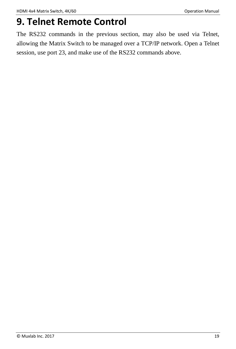# <span id="page-18-0"></span>**9. Telnet Remote Control**

The RS232 commands in the previous section, may also be used via Telnet, allowing the Matrix Switch to be managed over a TCP/IP network. Open a Telnet session, use port 23, and make use of the RS232 commands above.